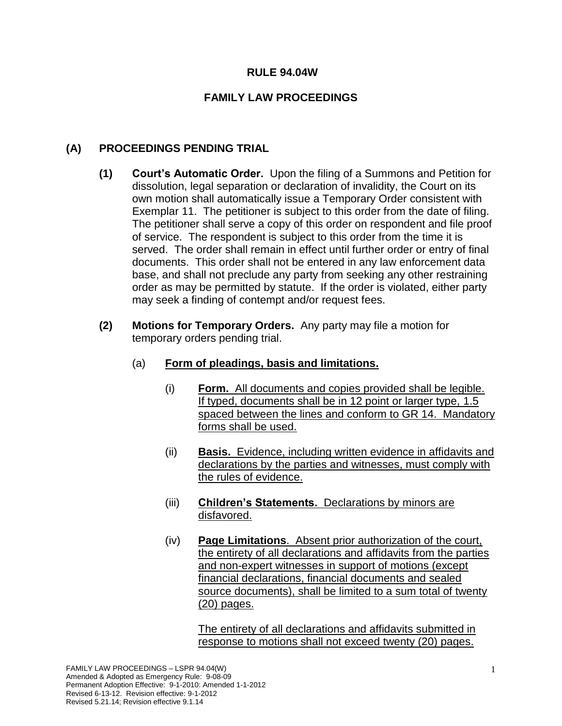#### **RULE 94.04W**

### **FAMILY LAW PROCEEDINGS**

#### **(A) PROCEEDINGS PENDING TRIAL**

- **(1) Court's Automatic Order.** Upon the filing of a Summons and Petition for dissolution, legal separation or declaration of invalidity, the Court on its own motion shall automatically issue a Temporary Order consistent with Exemplar 11. The petitioner is subject to this order from the date of filing. The petitioner shall serve a copy of this order on respondent and file proof of service. The respondent is subject to this order from the time it is served. The order shall remain in effect until further order or entry of final documents. This order shall not be entered in any law enforcement data base, and shall not preclude any party from seeking any other restraining order as may be permitted by statute. If the order is violated, either party may seek a finding of contempt and/or request fees.
- **(2) Motions for Temporary Orders.** Any party may file a motion for temporary orders pending trial.
	- (a) **Form of pleadings, basis and limitations.**
		- (i) **Form.** All documents and copies provided shall be legible. If typed, documents shall be in 12 point or larger type, 1.5 spaced between the lines and conform to GR 14. Mandatory forms shall be used.
		- (ii) **Basis.** Evidence, including written evidence in affidavits and declarations by the parties and witnesses, must comply with the rules of evidence.
		- (iii) **Children's Statements.** Declarations by minors are disfavored.
		- (iv) **Page Limitations**. Absent prior authorization of the court, the entirety of all declarations and affidavits from the parties and non-expert witnesses in support of motions (except financial declarations, financial documents and sealed source documents), shall be limited to a sum total of twenty (20) pages.

The entirety of all declarations and affidavits submitted in response to motions shall not exceed twenty (20) pages.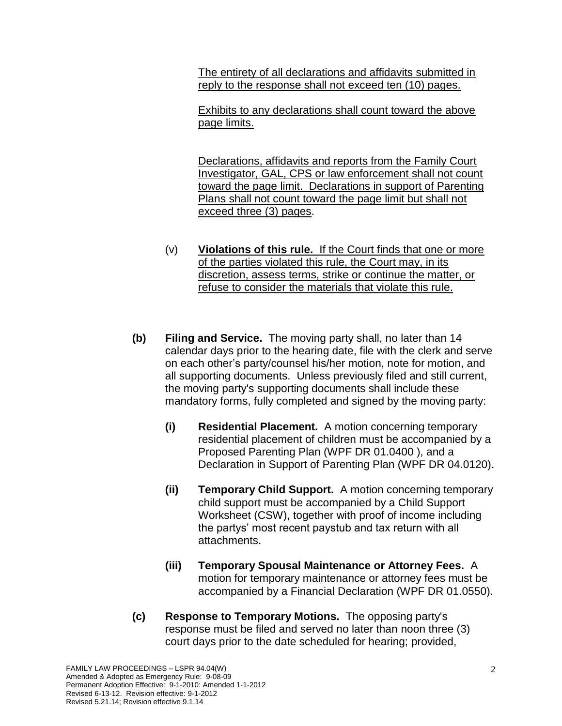The entirety of all declarations and affidavits submitted in reply to the response shall not exceed ten (10) pages.

Exhibits to any declarations shall count toward the above page limits.

Declarations, affidavits and reports from the Family Court Investigator, GAL, CPS or law enforcement shall not count toward the page limit. Declarations in support of Parenting Plans shall not count toward the page limit but shall not exceed three (3) pages.

- (v) **Violations of this rule.** If the Court finds that one or more of the parties violated this rule, the Court may, in its discretion, assess terms, strike or continue the matter, or refuse to consider the materials that violate this rule.
- **(b) Filing and Service.** The moving party shall, no later than 14 calendar days prior to the hearing date, file with the clerk and serve on each other's party/counsel his/her motion, note for motion, and all supporting documents. Unless previously filed and still current, the moving party's supporting documents shall include these mandatory forms, fully completed and signed by the moving party:
	- **(i) Residential Placement.** A motion concerning temporary residential placement of children must be accompanied by a Proposed Parenting Plan (WPF DR 01.0400 ), and a Declaration in Support of Parenting Plan (WPF DR 04.0120).
	- **(ii) Temporary Child Support.** A motion concerning temporary child support must be accompanied by a Child Support Worksheet (CSW), together with proof of income including the partys' most recent paystub and tax return with all attachments.
	- **(iii) Temporary Spousal Maintenance or Attorney Fees.** A motion for temporary maintenance or attorney fees must be accompanied by a Financial Declaration (WPF DR 01.0550).
- **(c) Response to Temporary Motions.** The opposing party's response must be filed and served no later than noon three (3) court days prior to the date scheduled for hearing; provided,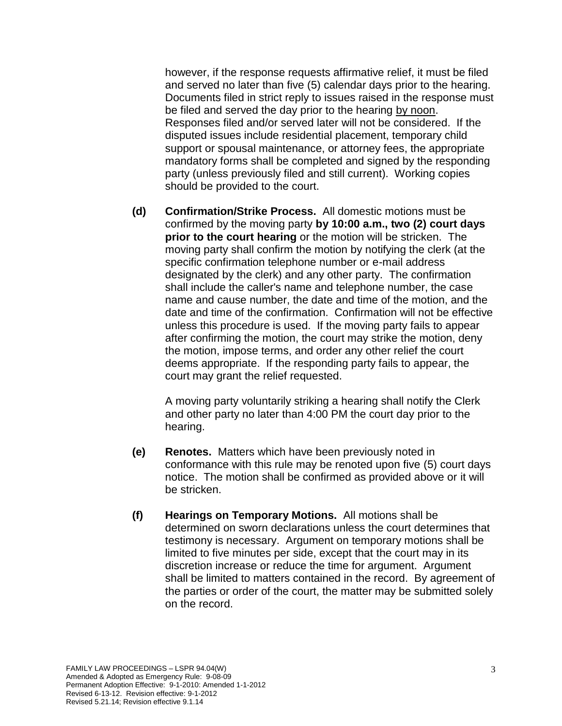however, if the response requests affirmative relief, it must be filed and served no later than five (5) calendar days prior to the hearing. Documents filed in strict reply to issues raised in the response must be filed and served the day prior to the hearing by noon. Responses filed and/or served later will not be considered. If the disputed issues include residential placement, temporary child support or spousal maintenance, or attorney fees, the appropriate mandatory forms shall be completed and signed by the responding party (unless previously filed and still current). Working copies should be provided to the court.

**(d) Confirmation/Strike Process.** All domestic motions must be confirmed by the moving party **by 10:00 a.m., two (2) court days prior to the court hearing** or the motion will be stricken. The moving party shall confirm the motion by notifying the clerk (at the specific confirmation telephone number or e-mail address designated by the clerk) and any other party. The confirmation shall include the caller's name and telephone number, the case name and cause number, the date and time of the motion, and the date and time of the confirmation. Confirmation will not be effective unless this procedure is used. If the moving party fails to appear after confirming the motion, the court may strike the motion, deny the motion, impose terms, and order any other relief the court deems appropriate. If the responding party fails to appear, the court may grant the relief requested.

A moving party voluntarily striking a hearing shall notify the Clerk and other party no later than 4:00 PM the court day prior to the hearing.

- **(e) Renotes.** Matters which have been previously noted in conformance with this rule may be renoted upon five (5) court days notice. The motion shall be confirmed as provided above or it will be stricken.
- **(f) Hearings on Temporary Motions.** All motions shall be determined on sworn declarations unless the court determines that testimony is necessary. Argument on temporary motions shall be limited to five minutes per side, except that the court may in its discretion increase or reduce the time for argument. Argument shall be limited to matters contained in the record. By agreement of the parties or order of the court, the matter may be submitted solely on the record.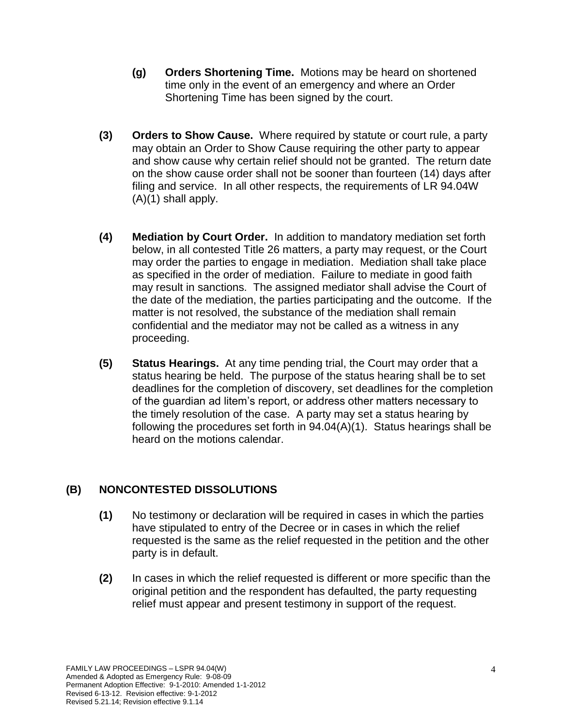- **(g) Orders Shortening Time.** Motions may be heard on shortened time only in the event of an emergency and where an Order Shortening Time has been signed by the court.
- **(3) Orders to Show Cause.** Where required by statute or court rule, a party may obtain an Order to Show Cause requiring the other party to appear and show cause why certain relief should not be granted. The return date on the show cause order shall not be sooner than fourteen (14) days after filing and service. In all other respects, the requirements of LR 94.04W  $(A)(1)$  shall apply.
- **(4) Mediation by Court Order.** In addition to mandatory mediation set forth below, in all contested Title 26 matters, a party may request, or the Court may order the parties to engage in mediation. Mediation shall take place as specified in the order of mediation. Failure to mediate in good faith may result in sanctions. The assigned mediator shall advise the Court of the date of the mediation, the parties participating and the outcome. If the matter is not resolved, the substance of the mediation shall remain confidential and the mediator may not be called as a witness in any proceeding.
- **(5) Status Hearings.** At any time pending trial, the Court may order that a status hearing be held. The purpose of the status hearing shall be to set deadlines for the completion of discovery, set deadlines for the completion of the guardian ad litem's report, or address other matters necessary to the timely resolution of the case. A party may set a status hearing by following the procedures set forth in 94.04(A)(1). Status hearings shall be heard on the motions calendar.

# **(B) NONCONTESTED DISSOLUTIONS**

- **(1)** No testimony or declaration will be required in cases in which the parties have stipulated to entry of the Decree or in cases in which the relief requested is the same as the relief requested in the petition and the other party is in default.
- **(2)** In cases in which the relief requested is different or more specific than the original petition and the respondent has defaulted, the party requesting relief must appear and present testimony in support of the request.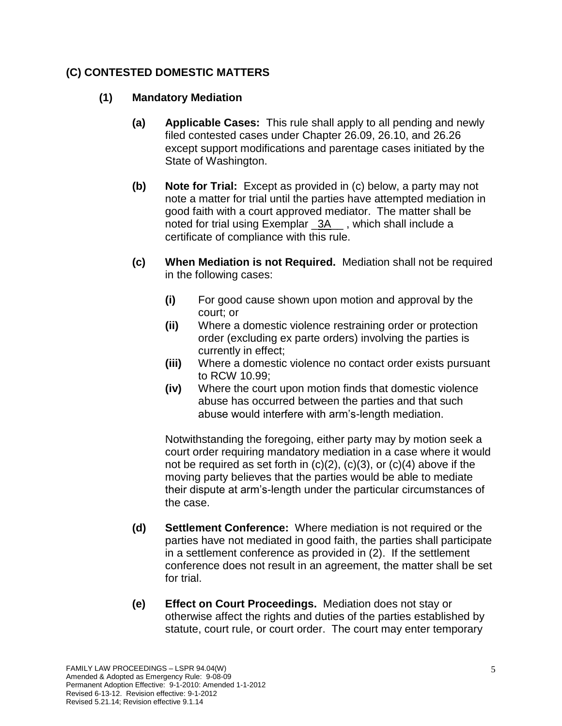### **(C) CONTESTED DOMESTIC MATTERS**

#### **(1) Mandatory Mediation**

- **(a) Applicable Cases:** This rule shall apply to all pending and newly filed contested cases under Chapter 26.09, 26.10, and 26.26 except support modifications and parentage cases initiated by the State of Washington.
- **(b) Note for Trial:** Except as provided in (c) below, a party may not note a matter for trial until the parties have attempted mediation in good faith with a court approved mediator. The matter shall be noted for trial using Exemplar \_3A\_\_ , which shall include a certificate of compliance with this rule.
- **(c) When Mediation is not Required.** Mediation shall not be required in the following cases:
	- **(i)** For good cause shown upon motion and approval by the court; or
	- **(ii)** Where a domestic violence restraining order or protection order (excluding ex parte orders) involving the parties is currently in effect;
	- **(iii)** Where a domestic violence no contact order exists pursuant to RCW 10.99;
	- **(iv)** Where the court upon motion finds that domestic violence abuse has occurred between the parties and that such abuse would interfere with arm's-length mediation.

Notwithstanding the foregoing, either party may by motion seek a court order requiring mandatory mediation in a case where it would not be required as set forth in  $(c)(2)$ ,  $(c)(3)$ , or  $(c)(4)$  above if the moving party believes that the parties would be able to mediate their dispute at arm's-length under the particular circumstances of the case.

- **(d) Settlement Conference:** Where mediation is not required or the parties have not mediated in good faith, the parties shall participate in a settlement conference as provided in (2). If the settlement conference does not result in an agreement, the matter shall be set for trial.
- **(e) Effect on Court Proceedings.** Mediation does not stay or otherwise affect the rights and duties of the parties established by statute, court rule, or court order. The court may enter temporary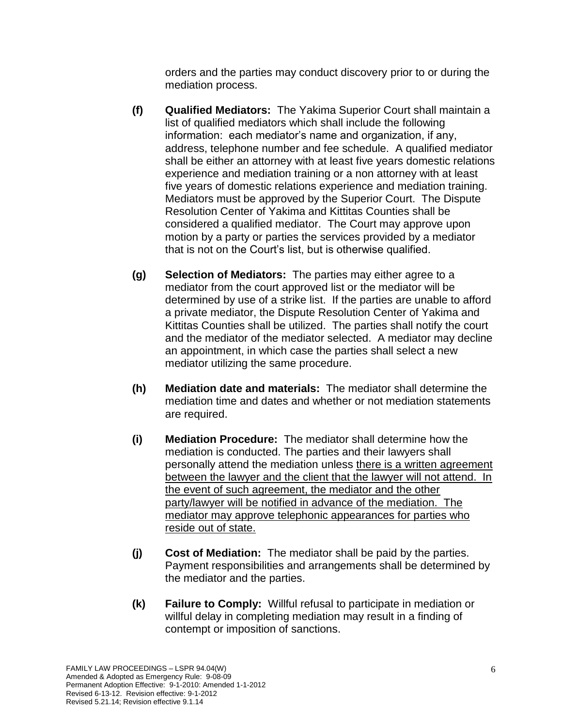orders and the parties may conduct discovery prior to or during the mediation process.

- **(f) Qualified Mediators:** The Yakima Superior Court shall maintain a list of qualified mediators which shall include the following information: each mediator's name and organization, if any, address, telephone number and fee schedule. A qualified mediator shall be either an attorney with at least five years domestic relations experience and mediation training or a non attorney with at least five years of domestic relations experience and mediation training. Mediators must be approved by the Superior Court. The Dispute Resolution Center of Yakima and Kittitas Counties shall be considered a qualified mediator. The Court may approve upon motion by a party or parties the services provided by a mediator that is not on the Court's list, but is otherwise qualified.
- **(g) Selection of Mediators:** The parties may either agree to a mediator from the court approved list or the mediator will be determined by use of a strike list. If the parties are unable to afford a private mediator, the Dispute Resolution Center of Yakima and Kittitas Counties shall be utilized. The parties shall notify the court and the mediator of the mediator selected. A mediator may decline an appointment, in which case the parties shall select a new mediator utilizing the same procedure.
- **(h) Mediation date and materials:** The mediator shall determine the mediation time and dates and whether or not mediation statements are required.
- **(i) Mediation Procedure:** The mediator shall determine how the mediation is conducted. The parties and their lawyers shall personally attend the mediation unless there is a written agreement between the lawyer and the client that the lawyer will not attend. In the event of such agreement, the mediator and the other party/lawyer will be notified in advance of the mediation. The mediator may approve telephonic appearances for parties who reside out of state.
- **(j) Cost of Mediation:** The mediator shall be paid by the parties. Payment responsibilities and arrangements shall be determined by the mediator and the parties.
- **(k) Failure to Comply:** Willful refusal to participate in mediation or willful delay in completing mediation may result in a finding of contempt or imposition of sanctions.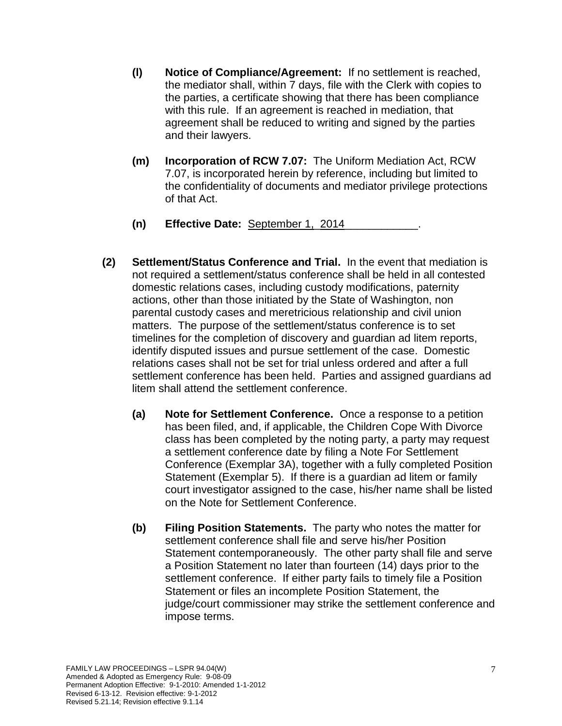- **(l) Notice of Compliance/Agreement:** If no settlement is reached, the mediator shall, within 7 days, file with the Clerk with copies to the parties, a certificate showing that there has been compliance with this rule. If an agreement is reached in mediation, that agreement shall be reduced to writing and signed by the parties and their lawyers.
- **(m) Incorporation of RCW 7.07:** The Uniform Mediation Act, RCW 7.07, is incorporated herein by reference, including but limited to the confidentiality of documents and mediator privilege protections of that Act.
- **(n) Effective Date:** September 1,\_2014\_\_\_\_\_\_\_\_\_\_\_\_.
- **(2) Settlement/Status Conference and Trial.** In the event that mediation is not required a settlement/status conference shall be held in all contested domestic relations cases, including custody modifications, paternity actions, other than those initiated by the State of Washington, non parental custody cases and meretricious relationship and civil union matters. The purpose of the settlement/status conference is to set timelines for the completion of discovery and guardian ad litem reports, identify disputed issues and pursue settlement of the case. Domestic relations cases shall not be set for trial unless ordered and after a full settlement conference has been held. Parties and assigned guardians ad litem shall attend the settlement conference.
	- **(a) Note for Settlement Conference.** Once a response to a petition has been filed, and, if applicable, the Children Cope With Divorce class has been completed by the noting party, a party may request a settlement conference date by filing a Note For Settlement Conference (Exemplar 3A), together with a fully completed Position Statement (Exemplar 5). If there is a guardian ad litem or family court investigator assigned to the case, his/her name shall be listed on the Note for Settlement Conference.
	- **(b) Filing Position Statements.** The party who notes the matter for settlement conference shall file and serve his/her Position Statement contemporaneously. The other party shall file and serve a Position Statement no later than fourteen (14) days prior to the settlement conference. If either party fails to timely file a Position Statement or files an incomplete Position Statement, the judge/court commissioner may strike the settlement conference and impose terms.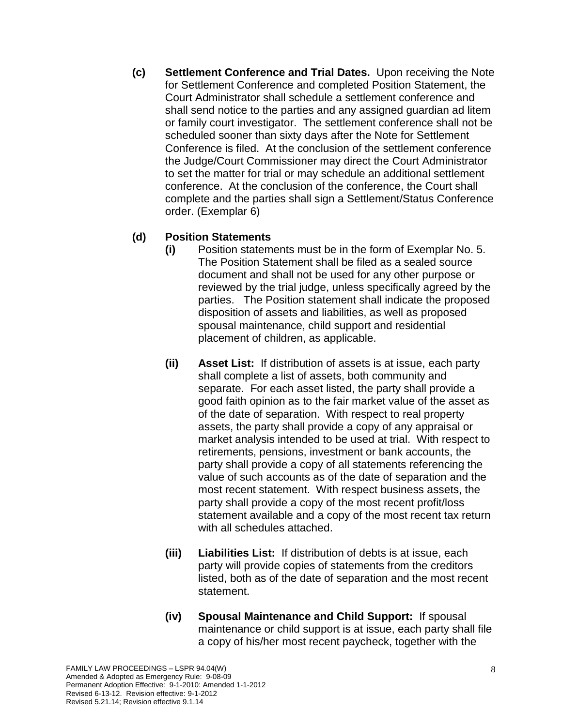**(c) Settlement Conference and Trial Dates.** Upon receiving the Note for Settlement Conference and completed Position Statement, the Court Administrator shall schedule a settlement conference and shall send notice to the parties and any assigned guardian ad litem or family court investigator. The settlement conference shall not be scheduled sooner than sixty days after the Note for Settlement Conference is filed. At the conclusion of the settlement conference the Judge/Court Commissioner may direct the Court Administrator to set the matter for trial or may schedule an additional settlement conference. At the conclusion of the conference, the Court shall complete and the parties shall sign a Settlement/Status Conference order. (Exemplar 6)

#### **(d) Position Statements**

- **(i)** Position statements must be in the form of Exemplar No. 5. The Position Statement shall be filed as a sealed source document and shall not be used for any other purpose or reviewed by the trial judge, unless specifically agreed by the parties. The Position statement shall indicate the proposed disposition of assets and liabilities, as well as proposed spousal maintenance, child support and residential placement of children, as applicable.
- **(ii) Asset List:** If distribution of assets is at issue, each party shall complete a list of assets, both community and separate. For each asset listed, the party shall provide a good faith opinion as to the fair market value of the asset as of the date of separation. With respect to real property assets, the party shall provide a copy of any appraisal or market analysis intended to be used at trial. With respect to retirements, pensions, investment or bank accounts, the party shall provide a copy of all statements referencing the value of such accounts as of the date of separation and the most recent statement. With respect business assets, the party shall provide a copy of the most recent profit/loss statement available and a copy of the most recent tax return with all schedules attached.
- **(iii) Liabilities List:** If distribution of debts is at issue, each party will provide copies of statements from the creditors listed, both as of the date of separation and the most recent statement.
- **(iv) Spousal Maintenance and Child Support:** If spousal maintenance or child support is at issue, each party shall file a copy of his/her most recent paycheck, together with the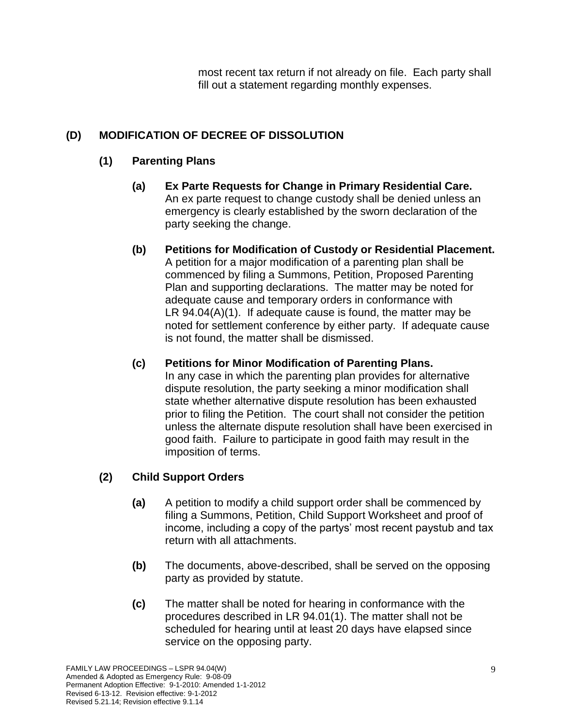most recent tax return if not already on file. Each party shall fill out a statement regarding monthly expenses.

# **(D) MODIFICATION OF DECREE OF DISSOLUTION**

# **(1) Parenting Plans**

- **(a) Ex Parte Requests for Change in Primary Residential Care.** An ex parte request to change custody shall be denied unless an emergency is clearly established by the sworn declaration of the party seeking the change.
- **(b) Petitions for Modification of Custody or Residential Placement.** A petition for a major modification of a parenting plan shall be commenced by filing a Summons, Petition, Proposed Parenting Plan and supporting declarations. The matter may be noted for adequate cause and temporary orders in conformance with LR 94.04(A)(1). If adequate cause is found, the matter may be noted for settlement conference by either party. If adequate cause is not found, the matter shall be dismissed.

#### **(c) Petitions for Minor Modification of Parenting Plans.**

In any case in which the parenting plan provides for alternative dispute resolution, the party seeking a minor modification shall state whether alternative dispute resolution has been exhausted prior to filing the Petition. The court shall not consider the petition unless the alternate dispute resolution shall have been exercised in good faith. Failure to participate in good faith may result in the imposition of terms.

## **(2) Child Support Orders**

- **(a)** A petition to modify a child support order shall be commenced by filing a Summons, Petition, Child Support Worksheet and proof of income, including a copy of the partys' most recent paystub and tax return with all attachments.
- **(b)** The documents, above-described, shall be served on the opposing party as provided by statute.
- **(c)** The matter shall be noted for hearing in conformance with the procedures described in LR 94.01(1). The matter shall not be scheduled for hearing until at least 20 days have elapsed since service on the opposing party.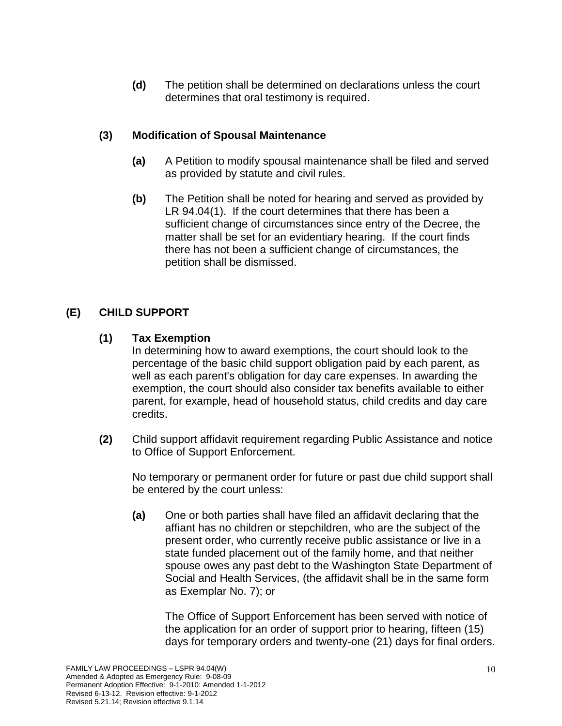**(d)** The petition shall be determined on declarations unless the court determines that oral testimony is required.

### **(3) Modification of Spousal Maintenance**

- **(a)** A Petition to modify spousal maintenance shall be filed and served as provided by statute and civil rules.
- **(b)** The Petition shall be noted for hearing and served as provided by LR 94.04(1). If the court determines that there has been a sufficient change of circumstances since entry of the Decree, the matter shall be set for an evidentiary hearing. If the court finds there has not been a sufficient change of circumstances, the petition shall be dismissed.

### **(E) CHILD SUPPORT**

#### **(1) Tax Exemption**

In determining how to award exemptions, the court should look to the percentage of the basic child support obligation paid by each parent, as well as each parent's obligation for day care expenses. In awarding the exemption, the court should also consider tax benefits available to either parent, for example, head of household status, child credits and day care credits.

**(2)** Child support affidavit requirement regarding Public Assistance and notice to Office of Support Enforcement.

No temporary or permanent order for future or past due child support shall be entered by the court unless:

**(a)** One or both parties shall have filed an affidavit declaring that the affiant has no children or stepchildren, who are the subject of the present order, who currently receive public assistance or live in a state funded placement out of the family home, and that neither spouse owes any past debt to the Washington State Department of Social and Health Services, (the affidavit shall be in the same form as Exemplar No. 7); or

The Office of Support Enforcement has been served with notice of the application for an order of support prior to hearing, fifteen (15) days for temporary orders and twenty-one (21) days for final orders.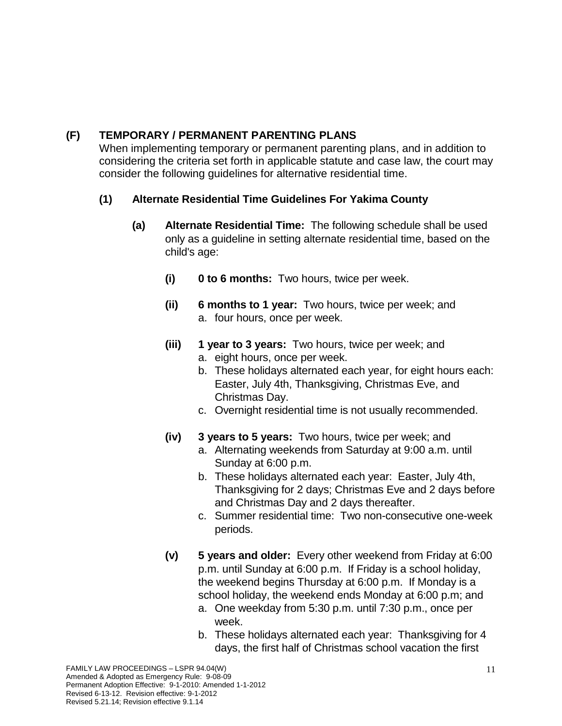# **(F) TEMPORARY / PERMANENT PARENTING PLANS**

When implementing temporary or permanent parenting plans, and in addition to considering the criteria set forth in applicable statute and case law, the court may consider the following guidelines for alternative residential time.

### **(1) Alternate Residential Time Guidelines For Yakima County**

- **(a) Alternate Residential Time:** The following schedule shall be used only as a guideline in setting alternate residential time, based on the child's age:
	- **(i) 0 to 6 months:** Two hours, twice per week.
	- **(ii) 6 months to 1 year:** Two hours, twice per week; and a. four hours, once per week.
	- **(iii) 1 year to 3 years:** Two hours, twice per week; and a. eight hours, once per week.
		- b. These holidays alternated each year, for eight hours each: Easter, July 4th, Thanksgiving, Christmas Eve, and Christmas Day.
		- c. Overnight residential time is not usually recommended.
	- **(iv) 3 years to 5 years:** Two hours, twice per week; and
		- a. Alternating weekends from Saturday at 9:00 a.m. until Sunday at 6:00 p.m.
		- b. These holidays alternated each year: Easter, July 4th, Thanksgiving for 2 days; Christmas Eve and 2 days before and Christmas Day and 2 days thereafter.
		- c. Summer residential time: Two non-consecutive one-week periods.
	- **(v) 5 years and older:** Every other weekend from Friday at 6:00 p.m. until Sunday at 6:00 p.m. If Friday is a school holiday, the weekend begins Thursday at 6:00 p.m. If Monday is a school holiday, the weekend ends Monday at 6:00 p.m; and
		- a. One weekday from 5:30 p.m. until 7:30 p.m., once per week.
		- b. These holidays alternated each year: Thanksgiving for 4 days, the first half of Christmas school vacation the first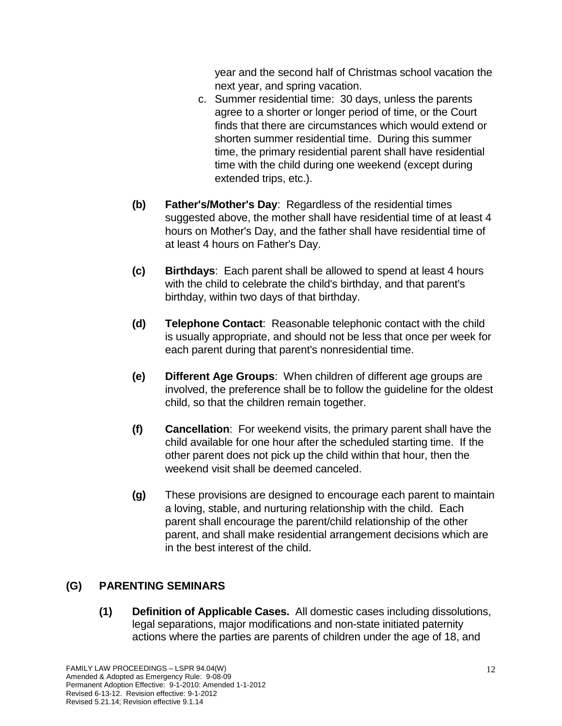year and the second half of Christmas school vacation the next year, and spring vacation.

- c. Summer residential time: 30 days, unless the parents agree to a shorter or longer period of time, or the Court finds that there are circumstances which would extend or shorten summer residential time. During this summer time, the primary residential parent shall have residential time with the child during one weekend (except during extended trips, etc.).
- **(b) Father's/Mother's Day**: Regardless of the residential times suggested above, the mother shall have residential time of at least 4 hours on Mother's Day, and the father shall have residential time of at least 4 hours on Father's Day.
- **(c) Birthdays**: Each parent shall be allowed to spend at least 4 hours with the child to celebrate the child's birthday, and that parent's birthday, within two days of that birthday.
- **(d) Telephone Contact**: Reasonable telephonic contact with the child is usually appropriate, and should not be less that once per week for each parent during that parent's nonresidential time.
- **(e) Different Age Groups**: When children of different age groups are involved, the preference shall be to follow the guideline for the oldest child, so that the children remain together.
- **(f) Cancellation**: For weekend visits, the primary parent shall have the child available for one hour after the scheduled starting time. If the other parent does not pick up the child within that hour, then the weekend visit shall be deemed canceled.
- **(g)** These provisions are designed to encourage each parent to maintain a loving, stable, and nurturing relationship with the child. Each parent shall encourage the parent/child relationship of the other parent, and shall make residential arrangement decisions which are in the best interest of the child.

# **(G) PARENTING SEMINARS**

**(1) Definition of Applicable Cases.** All domestic cases including dissolutions, legal separations, major modifications and non-state initiated paternity actions where the parties are parents of children under the age of 18, and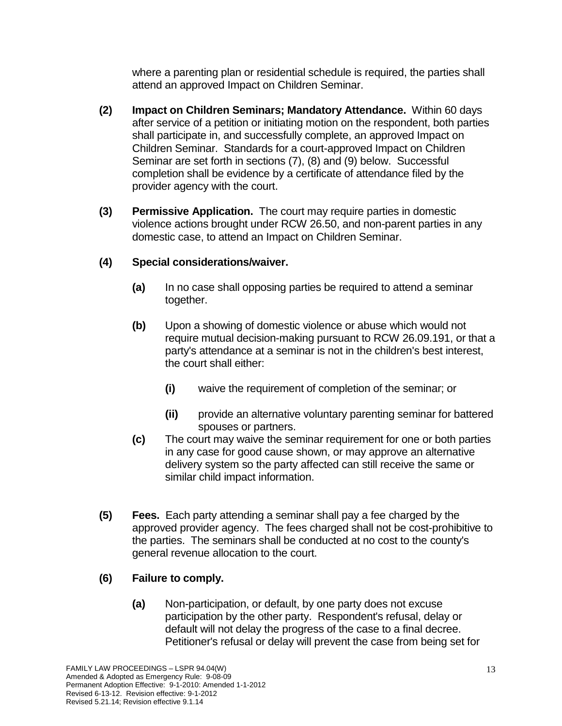where a parenting plan or residential schedule is required, the parties shall attend an approved Impact on Children Seminar.

- **(2) Impact on Children Seminars; Mandatory Attendance.** Within 60 days after service of a petition or initiating motion on the respondent, both parties shall participate in, and successfully complete, an approved Impact on Children Seminar. Standards for a court-approved Impact on Children Seminar are set forth in sections (7), (8) and (9) below. Successful completion shall be evidence by a certificate of attendance filed by the provider agency with the court.
- **(3) Permissive Application.** The court may require parties in domestic violence actions brought under RCW 26.50, and non-parent parties in any domestic case, to attend an Impact on Children Seminar.

## **(4) Special considerations/waiver.**

- **(a)** In no case shall opposing parties be required to attend a seminar together.
- **(b)** Upon a showing of domestic violence or abuse which would not require mutual decision-making pursuant to RCW 26.09.191, or that a party's attendance at a seminar is not in the children's best interest, the court shall either:
	- **(i)** waive the requirement of completion of the seminar; or
	- **(ii)** provide an alternative voluntary parenting seminar for battered spouses or partners.
- **(c)** The court may waive the seminar requirement for one or both parties in any case for good cause shown, or may approve an alternative delivery system so the party affected can still receive the same or similar child impact information.
- **(5) Fees.** Each party attending a seminar shall pay a fee charged by the approved provider agency. The fees charged shall not be cost-prohibitive to the parties. The seminars shall be conducted at no cost to the county's general revenue allocation to the court.

# **(6) Failure to comply.**

**(a)** Non-participation, or default, by one party does not excuse participation by the other party. Respondent's refusal, delay or default will not delay the progress of the case to a final decree. Petitioner's refusal or delay will prevent the case from being set for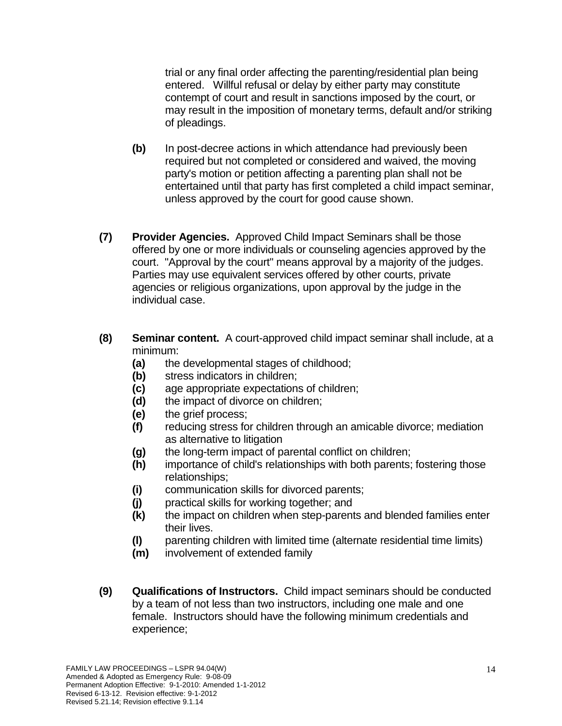trial or any final order affecting the parenting/residential plan being entered. Willful refusal or delay by either party may constitute contempt of court and result in sanctions imposed by the court, or may result in the imposition of monetary terms, default and/or striking of pleadings.

- **(b)** In post-decree actions in which attendance had previously been required but not completed or considered and waived, the moving party's motion or petition affecting a parenting plan shall not be entertained until that party has first completed a child impact seminar, unless approved by the court for good cause shown.
- **(7) Provider Agencies.** Approved Child Impact Seminars shall be those offered by one or more individuals or counseling agencies approved by the court. "Approval by the court" means approval by a majority of the judges. Parties may use equivalent services offered by other courts, private agencies or religious organizations, upon approval by the judge in the individual case.
- **(8) Seminar content.** A court-approved child impact seminar shall include, at a minimum:
	- **(a)** the developmental stages of childhood;
	- **(b)** stress indicators in children;
	- **(c)** age appropriate expectations of children;
	- **(d)** the impact of divorce on children;
	- **(e)** the grief process;
	- **(f)** reducing stress for children through an amicable divorce; mediation as alternative to litigation
	- **(g)** the long-term impact of parental conflict on children;
	- **(h)** importance of child's relationships with both parents; fostering those relationships;
	- **(i)** communication skills for divorced parents;
	- **(j)** practical skills for working together; and
	- **(k)** the impact on children when step-parents and blended families enter their lives.
	- **(l)** parenting children with limited time (alternate residential time limits)
	- **(m)** involvement of extended family
- **(9) Qualifications of Instructors.** Child impact seminars should be conducted by a team of not less than two instructors, including one male and one female. Instructors should have the following minimum credentials and experience;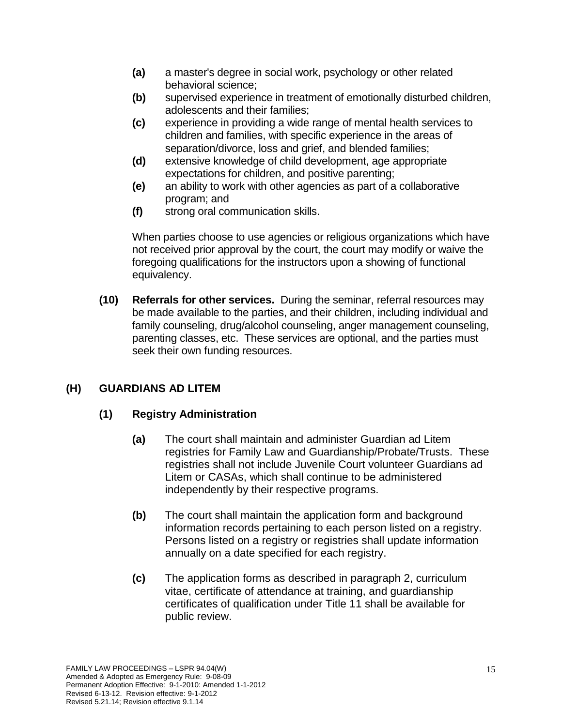- **(a)** a master's degree in social work, psychology or other related behavioral science;
- **(b)** supervised experience in treatment of emotionally disturbed children, adolescents and their families;
- **(c)** experience in providing a wide range of mental health services to children and families, with specific experience in the areas of separation/divorce, loss and grief, and blended families;
- **(d)** extensive knowledge of child development, age appropriate expectations for children, and positive parenting;
- **(e)** an ability to work with other agencies as part of a collaborative program; and
- **(f)** strong oral communication skills.

When parties choose to use agencies or religious organizations which have not received prior approval by the court, the court may modify or waive the foregoing qualifications for the instructors upon a showing of functional equivalency.

**(10) Referrals for other services.** During the seminar, referral resources may be made available to the parties, and their children, including individual and family counseling, drug/alcohol counseling, anger management counseling, parenting classes, etc. These services are optional, and the parties must seek their own funding resources.

# **(H) GUARDIANS AD LITEM**

## **(1) Registry Administration**

- **(a)** The court shall maintain and administer Guardian ad Litem registries for Family Law and Guardianship/Probate/Trusts. These registries shall not include Juvenile Court volunteer Guardians ad Litem or CASAs, which shall continue to be administered independently by their respective programs.
- **(b)** The court shall maintain the application form and background information records pertaining to each person listed on a registry. Persons listed on a registry or registries shall update information annually on a date specified for each registry.
- **(c)** The application forms as described in paragraph 2, curriculum vitae, certificate of attendance at training, and guardianship certificates of qualification under Title 11 shall be available for public review.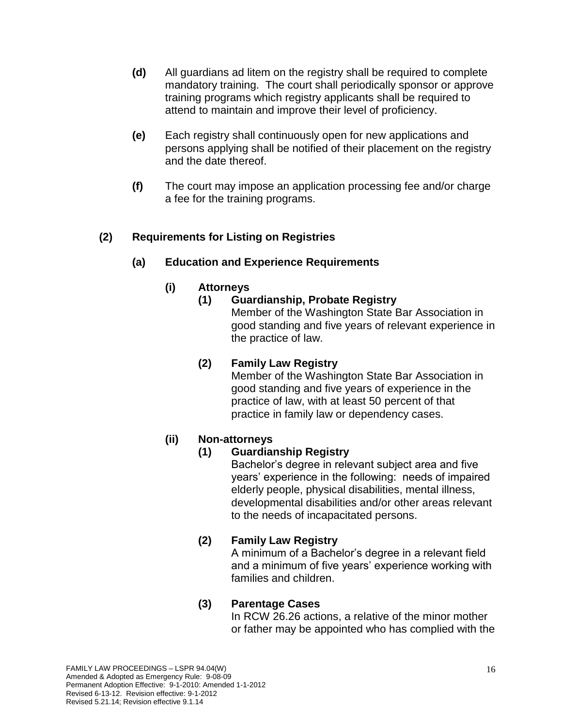- **(d)** All guardians ad litem on the registry shall be required to complete mandatory training. The court shall periodically sponsor or approve training programs which registry applicants shall be required to attend to maintain and improve their level of proficiency.
- **(e)** Each registry shall continuously open for new applications and persons applying shall be notified of their placement on the registry and the date thereof.
- **(f)** The court may impose an application processing fee and/or charge a fee for the training programs.

## **(2) Requirements for Listing on Registries**

**(a) Education and Experience Requirements**

#### **(i) Attorneys**

**(1) Guardianship, Probate Registry** Member of the Washington State Bar Association in good standing and five years of relevant experience in the practice of law.

# **(2) Family Law Registry**

Member of the Washington State Bar Association in good standing and five years of experience in the practice of law, with at least 50 percent of that practice in family law or dependency cases.

## **(ii) Non-attorneys**

#### **(1) Guardianship Registry**

Bachelor's degree in relevant subject area and five years' experience in the following: needs of impaired elderly people, physical disabilities, mental illness, developmental disabilities and/or other areas relevant to the needs of incapacitated persons.

## **(2) Family Law Registry**

A minimum of a Bachelor's degree in a relevant field and a minimum of five years' experience working with families and children.

## **(3) Parentage Cases**

In RCW 26.26 actions, a relative of the minor mother or father may be appointed who has complied with the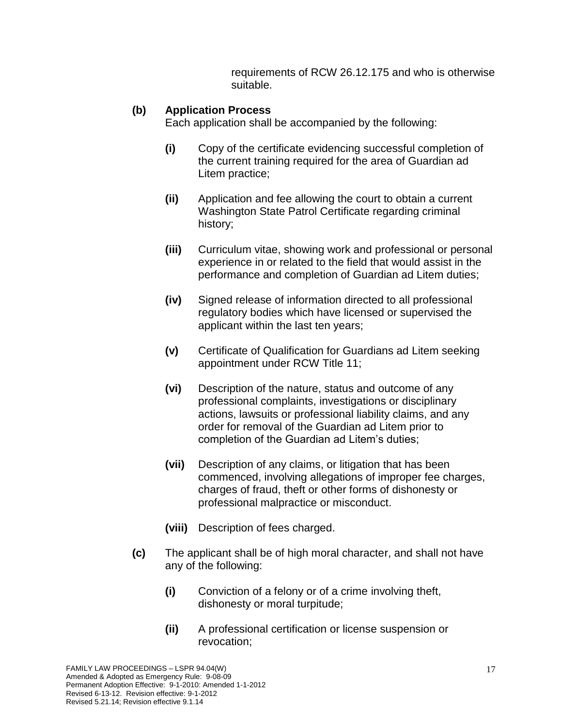requirements of RCW 26.12.175 and who is otherwise suitable.

#### **(b) Application Process**

Each application shall be accompanied by the following:

- **(i)** Copy of the certificate evidencing successful completion of the current training required for the area of Guardian ad Litem practice;
- **(ii)** Application and fee allowing the court to obtain a current Washington State Patrol Certificate regarding criminal history;
- **(iii)** Curriculum vitae, showing work and professional or personal experience in or related to the field that would assist in the performance and completion of Guardian ad Litem duties;
- **(iv)** Signed release of information directed to all professional regulatory bodies which have licensed or supervised the applicant within the last ten years;
- **(v)** Certificate of Qualification for Guardians ad Litem seeking appointment under RCW Title 11;
- **(vi)** Description of the nature, status and outcome of any professional complaints, investigations or disciplinary actions, lawsuits or professional liability claims, and any order for removal of the Guardian ad Litem prior to completion of the Guardian ad Litem's duties;
- **(vii)** Description of any claims, or litigation that has been commenced, involving allegations of improper fee charges, charges of fraud, theft or other forms of dishonesty or professional malpractice or misconduct.
- **(viii)** Description of fees charged.
- **(c)** The applicant shall be of high moral character, and shall not have any of the following:
	- **(i)** Conviction of a felony or of a crime involving theft, dishonesty or moral turpitude;
	- **(ii)** A professional certification or license suspension or revocation;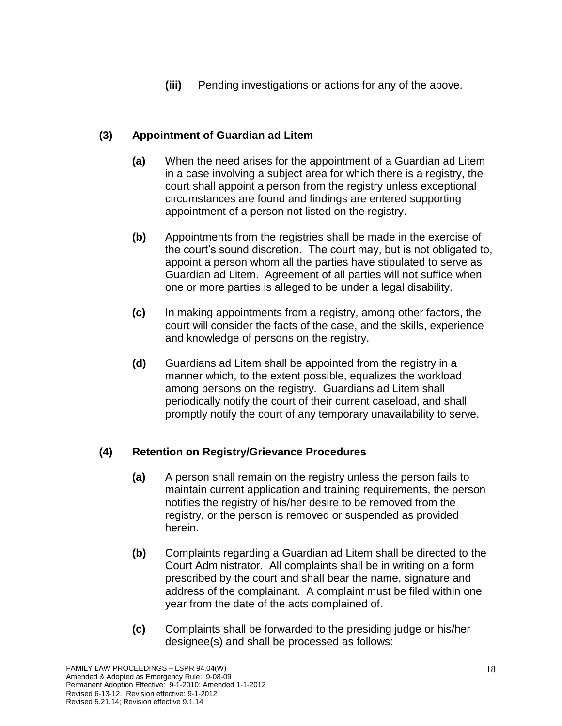**(iii)** Pending investigations or actions for any of the above.

# **(3) Appointment of Guardian ad Litem**

- **(a)** When the need arises for the appointment of a Guardian ad Litem in a case involving a subject area for which there is a registry, the court shall appoint a person from the registry unless exceptional circumstances are found and findings are entered supporting appointment of a person not listed on the registry.
- **(b)** Appointments from the registries shall be made in the exercise of the court's sound discretion. The court may, but is not obligated to, appoint a person whom all the parties have stipulated to serve as Guardian ad Litem. Agreement of all parties will not suffice when one or more parties is alleged to be under a legal disability.
- **(c)** In making appointments from a registry, among other factors, the court will consider the facts of the case, and the skills, experience and knowledge of persons on the registry.
- **(d)** Guardians ad Litem shall be appointed from the registry in a manner which, to the extent possible, equalizes the workload among persons on the registry. Guardians ad Litem shall periodically notify the court of their current caseload, and shall promptly notify the court of any temporary unavailability to serve.

## **(4) Retention on Registry/Grievance Procedures**

- **(a)** A person shall remain on the registry unless the person fails to maintain current application and training requirements, the person notifies the registry of his/her desire to be removed from the registry, or the person is removed or suspended as provided herein.
- **(b)** Complaints regarding a Guardian ad Litem shall be directed to the Court Administrator. All complaints shall be in writing on a form prescribed by the court and shall bear the name, signature and address of the complainant. A complaint must be filed within one year from the date of the acts complained of.
- **(c)** Complaints shall be forwarded to the presiding judge or his/her designee(s) and shall be processed as follows: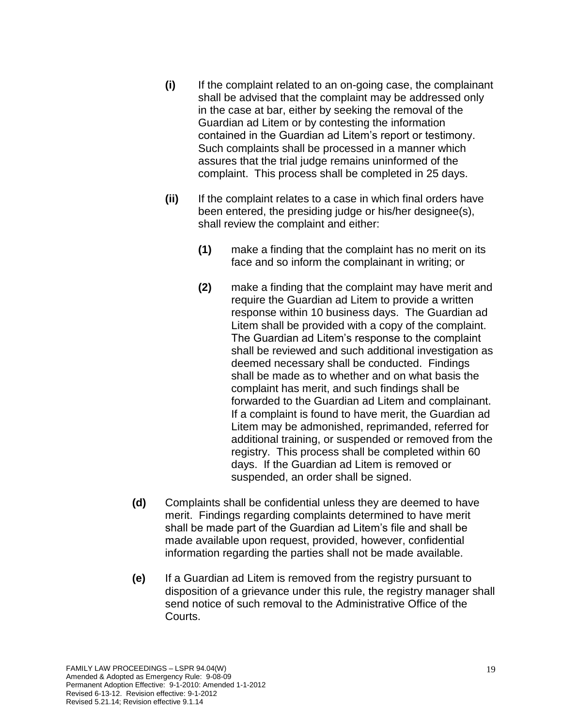- **(i)** If the complaint related to an on-going case, the complainant shall be advised that the complaint may be addressed only in the case at bar, either by seeking the removal of the Guardian ad Litem or by contesting the information contained in the Guardian ad Litem's report or testimony. Such complaints shall be processed in a manner which assures that the trial judge remains uninformed of the complaint. This process shall be completed in 25 days.
- **(ii)** If the complaint relates to a case in which final orders have been entered, the presiding judge or his/her designee(s), shall review the complaint and either:
	- **(1)** make a finding that the complaint has no merit on its face and so inform the complainant in writing; or
	- **(2)** make a finding that the complaint may have merit and require the Guardian ad Litem to provide a written response within 10 business days. The Guardian ad Litem shall be provided with a copy of the complaint. The Guardian ad Litem's response to the complaint shall be reviewed and such additional investigation as deemed necessary shall be conducted. Findings shall be made as to whether and on what basis the complaint has merit, and such findings shall be forwarded to the Guardian ad Litem and complainant. If a complaint is found to have merit, the Guardian ad Litem may be admonished, reprimanded, referred for additional training, or suspended or removed from the registry. This process shall be completed within 60 days. If the Guardian ad Litem is removed or suspended, an order shall be signed.
- **(d)** Complaints shall be confidential unless they are deemed to have merit. Findings regarding complaints determined to have merit shall be made part of the Guardian ad Litem's file and shall be made available upon request, provided, however, confidential information regarding the parties shall not be made available.
- **(e)** If a Guardian ad Litem is removed from the registry pursuant to disposition of a grievance under this rule, the registry manager shall send notice of such removal to the Administrative Office of the Courts.